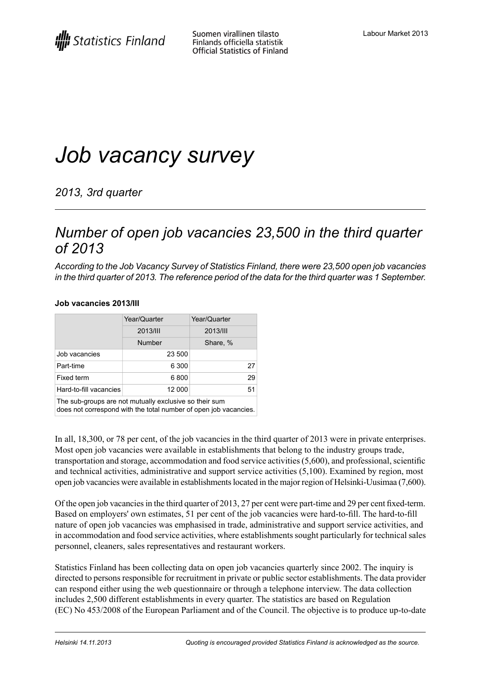# *Job vacancy survey*

*2013, 3rd quarter*

### *Number of open job vacancies 23,500 in the third quarter of 2013*

*According to the Job Vacancy Survey of Statistics Finland, there were 23,500 open job vacancies* in the third quarter of 2013. The reference period of the data for the third quarter was 1 September.

#### **Job vacancies 2013/III**

|                        | Year/Quarter  | Year/Quarter    |
|------------------------|---------------|-----------------|
|                        | 2013/III      | 2013/III        |
|                        | <b>Number</b> | Share, %        |
| Job vacancies          | 23 500        |                 |
| Part-time              | 6 300         | 27 <sup>1</sup> |
| Fixed term             | 6800          | 29              |
| Hard-to-fill vacancies | 12 000        | 51              |

The sub-groups are not mutually exclusive so their sum

does not correspond with the total number of open job vacancies.

In all, 18,300, or 78 per cent, of the job vacancies in the third quarter of 2013 were in private enterprises. Most open job vacancies were available in establishments that belong to the industry groups trade, transportation and storage, accommodation and food service activities  $(5,600)$ , and professional, scientific and technical activities, administrative and support service activities (5,100). Examined by region, most open job vacancies were available in establishmentslocated in the major region of Helsinki-Uusimaa (7,600).

Of the open job vacanciesin the third quarter of 2013, 27 per cent were part-time and 29 per cent fixed-term. Based on employers' own estimates, 51 per cent of the job vacancies were hard-to-fill. The hard-to-fill nature of open job vacancies was emphasised in trade, administrative and support service activities, and in accommodation and food service activities, where establishments sought particularly for technical sales personnel, cleaners, sales representatives and restaurant workers.

Statistics Finland has been collecting data on open job vacancies quarterly since 2002. The inquiry is directed to persons responsible for recruitment in private or public sector establishments. The data provider can respond either using the web questionnaire or through a telephone interview. The data collection includes 2,500 different establishments in every quarter. The statistics are based on Regulation (EC) No 453/2008 of the European Parliament and of the Council. The objective is to produce up-to-date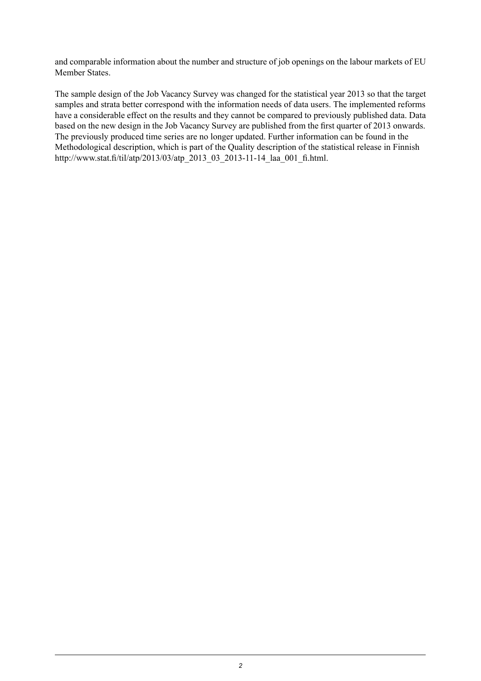and comparable information about the number and structure of job openings on the labour markets of EU Member States.

The sample design of the Job Vacancy Survey was changed for the statistical year 2013 so that the target samples and strata better correspond with the information needs of data users. The implemented reforms have a considerable effect on the results and they cannot be compared to previously published data. Data based on the new design in the Job Vacancy Survey are published from the first quarter of 2013 onwards. The previously produced time series are no longer updated. Further information can be found in the Methodological description, which is part of the Quality description of the statistical release in Finnish http://www.stat.fi/til/atp/2013/03/atp\_2013\_03\_2013-11-14\_laa\_001\_fi.html.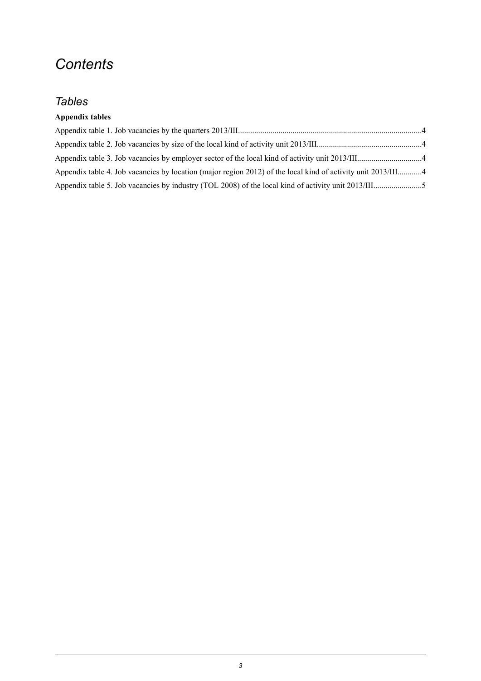## *Contents*

### *Tables*

### **Appendix tables**

| Appendix table 4. Job vacancies by location (major region 2012) of the local kind of activity unit 2013/III4 |  |
|--------------------------------------------------------------------------------------------------------------|--|
|                                                                                                              |  |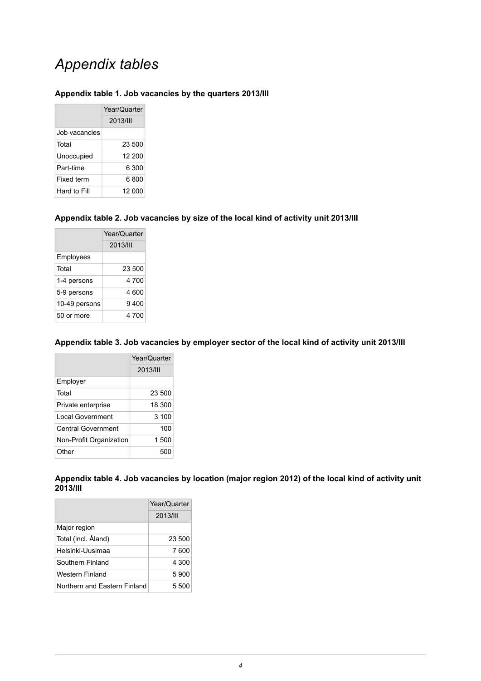## *Appendix tables*

#### <span id="page-3-0"></span>**Appendix table 1. Job vacancies by the quarters 2013/III**

|               | Year/Quarter |
|---------------|--------------|
|               | 2013/11      |
| Job vacancies |              |
| Total         | 23.500       |
| Unoccupied    | 12 200       |
| Part-time     | 6 300        |
| Fixed term    | 6 800        |
| Hard to Fill  | 12 000       |

### <span id="page-3-1"></span>**Appendix table 2. Job vacancies by size of the local kind of activity unit 2013/III**

|               | Year/Quarter |
|---------------|--------------|
|               | 2013/III     |
| Employees     |              |
| Total         | 23 500       |
| 1-4 persons   | 4 700        |
| 5-9 persons   | 4 600        |
| 10-49 persons | 9 400        |
| 50 or more    | 4 700        |

#### <span id="page-3-2"></span>**Appendix table 3. Job vacancies by employer sector of the local kind of activity unit 2013/III**

|                           | Year/Quarter |  |
|---------------------------|--------------|--|
|                           | 2013/11      |  |
| Employer                  |              |  |
| Total                     | 23 500       |  |
| Private enterprise        | 18 300       |  |
| Local Government          | 3 100        |  |
| <b>Central Government</b> | 100          |  |
| Non-Profit Organization   | 1 500        |  |
| Other                     | 500          |  |

<span id="page-3-3"></span>

|                 |  | Appendix table 4. Job vacancies by location (major region 2012) of the local kind of activity unit |
|-----------------|--|----------------------------------------------------------------------------------------------------|
| <b>2013/III</b> |  |                                                                                                    |

|                              | Year/Quarter |
|------------------------------|--------------|
|                              | 2013/III     |
| Major region                 |              |
| Total (incl. Åland)          | 23 500       |
| Helsinki-Uusimaa             | 7 600        |
| Southern Finland             | 4 300        |
| Western Finland              | 5900         |
| Northern and Fastern Finland | 5.500        |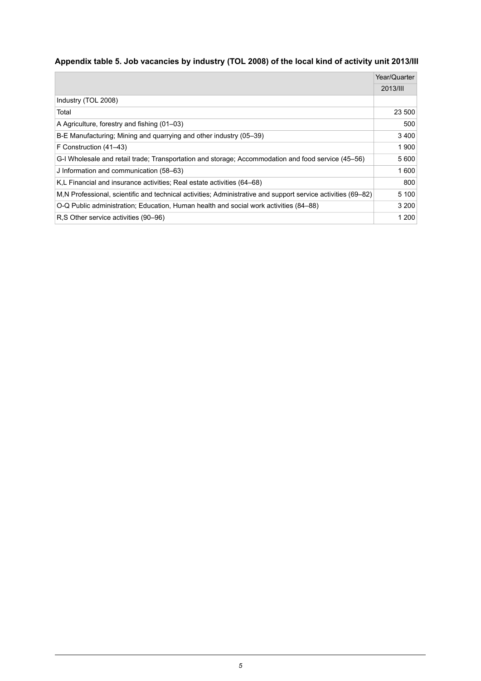### <span id="page-4-0"></span>**Appendix table 5. Job vacancies by industry (TOL 2008) of the local kind of activity unit 2013/III**

|                                                                                                               | Year/Quarter |
|---------------------------------------------------------------------------------------------------------------|--------------|
|                                                                                                               | 2013/III     |
| Industry (TOL 2008)                                                                                           |              |
| Total                                                                                                         | 23 500       |
| A Agriculture, forestry and fishing (01–03)                                                                   | 500          |
| B-E Manufacturing; Mining and quarrying and other industry (05–39)                                            | 3400         |
| F Construction (41–43)                                                                                        | 1900         |
| G-I Wholesale and retail trade; Transportation and storage; Accommodation and food service (45–56)            | 5600         |
| J Information and communication (58-63)                                                                       | 1 600        |
| K,L Financial and insurance activities; Real estate activities (64–68)                                        | 800          |
| M, N Professional, scientific and technical activities; Administrative and support service activities (69–82) | 5 100        |
| O-Q Public administration; Education, Human health and social work activities (84–88)                         | 3 200        |
| R.S Other service activities (90–96)                                                                          | 1 200        |